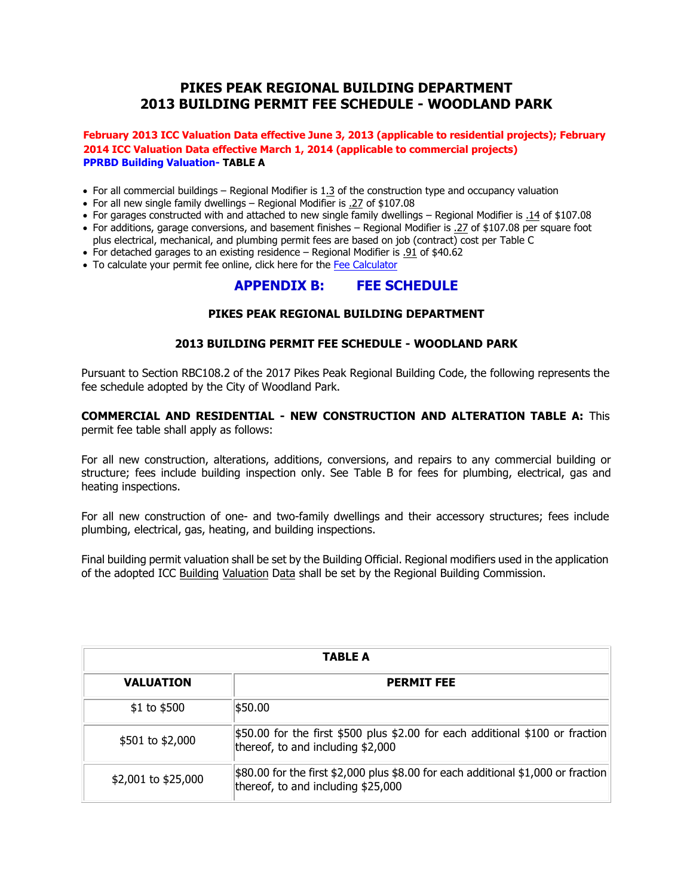# **PIKES PEAK REGIONAL BUILDING DEPARTMENT 2013 BUILDING PERMIT FEE SCHEDULE - WOODLAND PARK**

#### **February 2013 ICC Valuation Data effective June 3, 2013 (applicable to residential projects); February 2014 ICC Valuation Data effective March 1, 2014 (applicable to commercial projects) PPRBD Building Valuation- TABLE A**

- For all commercial buildings Regional Modifier is 1.3 of the construction type and occupancy valuation
- For all new single family dwellings Regional Modifier is .27 of \$107.08
- For garages constructed with and attached to new single family dwellings Regional Modifier is .14 of \$107.08
- For additions, garage conversions, and basement finishes Regional Modifier is .27 of \$107.08 per square foot plus electrical, mechanical, and plumbing permit fee[s are based on jo](https://www.pprbd.org/Information/FeeCalculator)b (contract) cost per Table C
- For detached garages to an existing residence Regional Modifier is .91 of \$40.62
- To calculate your permit fee online, click here for the Fee Calculator

## **APPENDIX B: FEE SCHEDULE**

### **PIKES PEAK REGIONAL BUILDING DEPARTMENT**

#### **2013 BUILDING PERMIT FEE SCHEDULE - WOODLAND PARK**

Pursuant to Section RBC108.2 of the 2017 Pikes Peak Regional Building Code, the following represents the fee schedule adopted by the City of Woodland Park.

#### **COMMERCIAL AND RESIDENTIAL - NEW CONSTRUCTION AND ALTERATION TABLE A:** This permit fee table shall apply as follows:

For all new construction, alterations, additions, conversions, and repairs to any commercial building or structure; fees include building inspection only. See Table B for fees for plumbing, electrical, gas and heating inspections.

For all new construction of one- and two-family dwellings and their accessory structures; fees include plumbing, electrical, gas, heating, and building inspections.

Final building permit valuation shall be set by the Building Official. Regional modifiers used in the application of the adopted ICC Building Valuation Data shall be set by the Regional Building Commission.

| TABLE A             |                                                                                                                                |  |
|---------------------|--------------------------------------------------------------------------------------------------------------------------------|--|
| <b>VALUATION</b>    | <b>PERMIT FEE</b>                                                                                                              |  |
| $$1$ to $$500$      | \$50.00                                                                                                                        |  |
| \$501 to \$2,000    | $\frac{1}{2}$ 50.00 for the first \$500 plus \$2.00 for each additional \$100 or fraction<br>thereof, to and including \$2,000 |  |
| \$2,001 to \$25,000 | $ \$80.00$ for the first \$2,000 plus \$8.00 for each additional \$1,000 or fraction<br>thereof, to and including \$25,000     |  |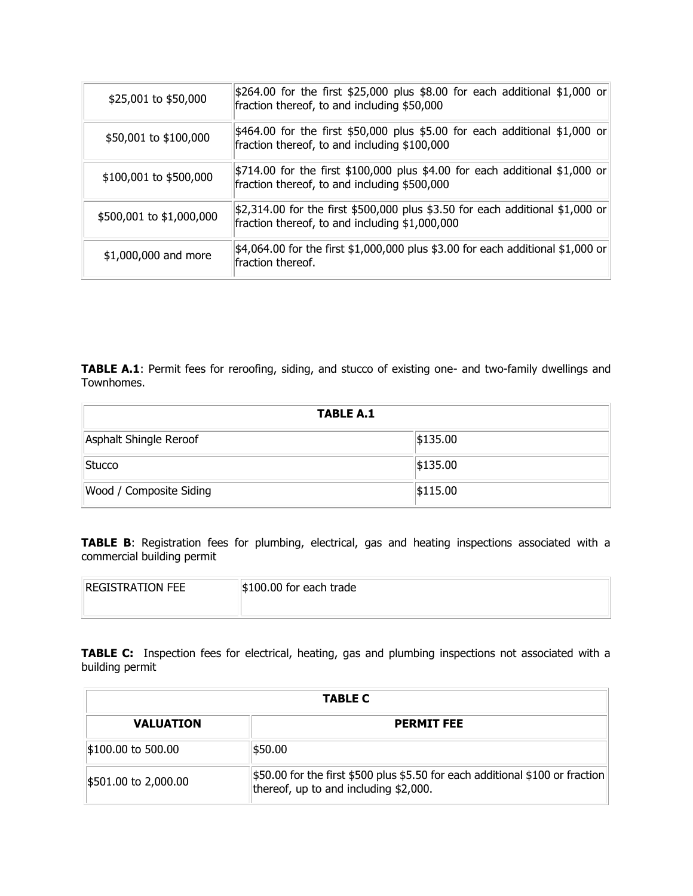| \$25,001 to \$50,000     | $$264.00$ for the first \$25,000 plus \$8.00 for each additional \$1,000 or<br>fraction thereof, to and including \$50,000            |
|--------------------------|---------------------------------------------------------------------------------------------------------------------------------------|
| \$50,001 to \$100,000    | $\frac{1}{2}464.00$ for the first \$50,000 plus \$5.00 for each additional \$1,000 or<br>fraction thereof, to and including \$100,000 |
| \$100,001 to \$500,000   | $$714.00$ for the first \$100,000 plus \$4.00 for each additional \$1,000 or<br>fraction thereof, to and including \$500,000          |
| \$500,001 to \$1,000,000 | $ 2,314.00$ for the first \$500,000 plus \$3.50 for each additional \$1,000 or<br>fraction thereof, to and including \$1,000,000      |
| \$1,000,000 and more     | $$4,064.00$ for the first $$1,000,000$ plus \$3.00 for each additional \$1,000 or<br>fraction thereof.                                |

**TABLE A.1**: Permit fees for reroofing, siding, and stucco of existing one- and two-family dwellings and Townhomes.

| <b>TABLE A.1</b>        |          |  |
|-------------------------|----------|--|
| Asphalt Shingle Reroof  | \$135.00 |  |
| Stucco                  | \$135.00 |  |
| Wood / Composite Siding | \$115.00 |  |

**TABLE B:** Registration fees for plumbing, electrical, gas and heating inspections associated with a commercial building permit

| <b>REGISTRATION FEE</b> | $\frac{1}{2}100.00$ for each trade |
|-------------------------|------------------------------------|
|                         |                                    |

**TABLE C:** Inspection fees for electrical, heating, gas and plumbing inspections not associated with a building permit

| <b>TABLE C</b>       |                                                                                                                        |  |
|----------------------|------------------------------------------------------------------------------------------------------------------------|--|
| <b>VALUATION</b>     | <b>PERMIT FEE</b>                                                                                                      |  |
| \$100.00 to 500.00   | ∣\$50.00                                                                                                               |  |
| \$501.00 to 2,000.00 | \$50.00 for the first \$500 plus \$5.50 for each additional \$100 or fraction<br>thereof, up to and including \$2,000. |  |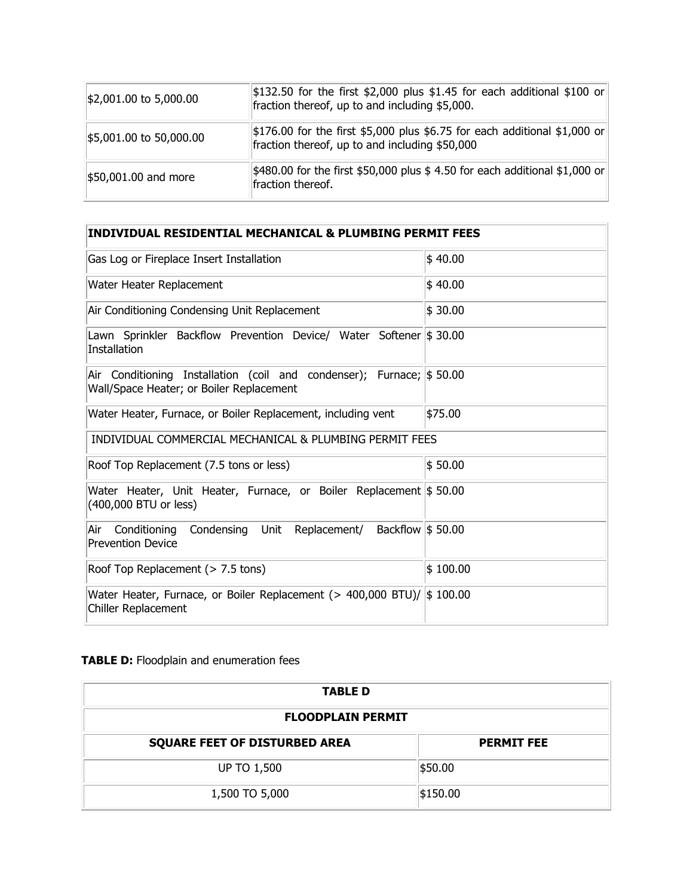| $\frac{1}{2}$ ,001.00 to 5,000.00                   | $\frac{1}{2}132.50$ for the first \$2,000 plus \$1.45 for each additional \$100 or<br>fraction thereof, up to and including \$5,000. |
|-----------------------------------------------------|--------------------------------------------------------------------------------------------------------------------------------------|
| $\frac{15,001.00 \text{ to } 50,000.00}{50,000.00}$ | $\vert$ \$176.00 for the first \$5,000 plus \$6.75 for each additional \$1,000 or<br>fraction thereof, up to and including \$50,000  |
| \$50,001.00 and more                                | $\frac{1}{2}480.00$ for the first \$50,000 plus \$ 4.50 for each additional \$1,000 or<br>fraction thereof.                          |

| <b>INDIVIDUAL RESIDENTIAL MECHANICAL &amp; PLUMBING PERMIT FEES</b>                                              |          |  |
|------------------------------------------------------------------------------------------------------------------|----------|--|
| Gas Log or Fireplace Insert Installation                                                                         | \$40.00  |  |
| Water Heater Replacement                                                                                         | \$40.00  |  |
| Air Conditioning Condensing Unit Replacement                                                                     | \$30.00  |  |
| Lawn Sprinkler Backflow Prevention Device/ Water Softener \$30.00<br>Installation                                |          |  |
| Air Conditioning Installation (coil and condenser); Furnace; \$50.00<br>Wall/Space Heater; or Boiler Replacement |          |  |
| Water Heater, Furnace, or Boiler Replacement, including vent                                                     | \$75.00  |  |
| INDIVIDUAL COMMERCIAL MECHANICAL & PLUMBING PERMIT FEES                                                          |          |  |
| \$50.00<br>Roof Top Replacement (7.5 tons or less)                                                               |          |  |
| Water Heater, Unit Heater, Furnace, or Boiler Replacement \$50.00<br>(400,000 BTU or less)                       |          |  |
| Backflow \$50.00<br>Conditioning Condensing Unit Replacement/<br>Air<br><b>Prevention Device</b>                 |          |  |
| Roof Top Replacement (> 7.5 tons)                                                                                | \$100.00 |  |
| Water Heater, Furnace, or Boiler Replacement (> 400,000 BTU)/ \$ 100.00<br><b>Chiller Replacement</b>            |          |  |

# **TABLE D:** Floodplain and enumeration fees

| <b>TABLE D</b>                       |                   |  |
|--------------------------------------|-------------------|--|
| <b>FLOODPLAIN PERMIT</b>             |                   |  |
| <b>SQUARE FEET OF DISTURBED AREA</b> | <b>PERMIT FEE</b> |  |
| <b>UP TO 1,500</b>                   | \$50.00           |  |
| 1,500 TO 5,000                       | \$150.00          |  |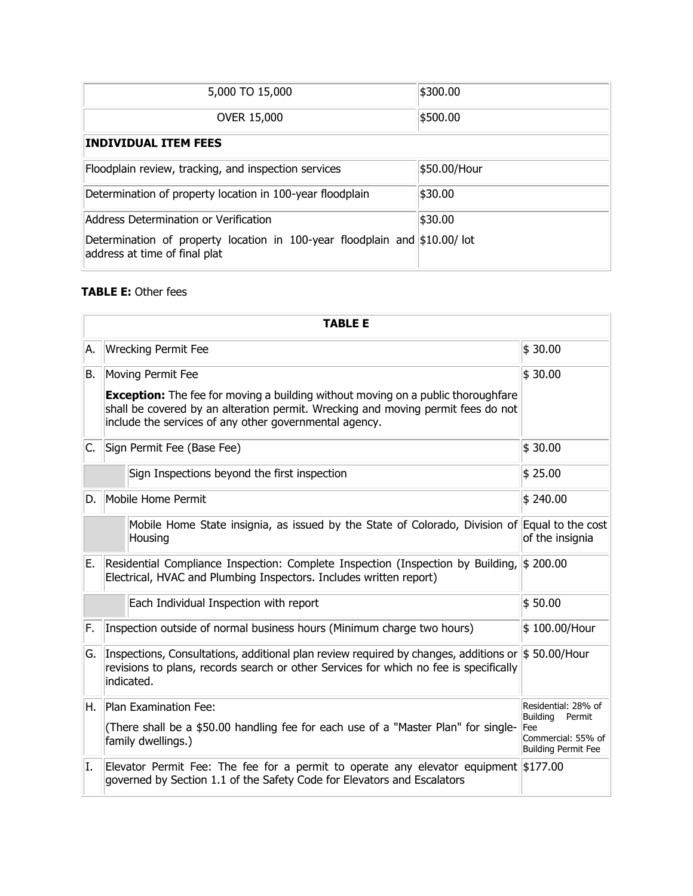| 5,000 TO 15,000                                                                                            | \$300.00     |
|------------------------------------------------------------------------------------------------------------|--------------|
| <b>OVER 15,000</b>                                                                                         | \$500.00     |
| <b>INDIVIDUAL ITEM FEES</b>                                                                                |              |
| Floodplain review, tracking, and inspection services                                                       | \$50.00/Hour |
| Determination of property location in 100-year floodplain                                                  | \$30.00      |
| Address Determination or Verification                                                                      | \$30.00      |
| Determination of property location in 100-year floodplain and \$10.00/lot<br>address at time of final plat |              |

### **TABLE E:** Other fees

|                         | <b>TABLE E</b>                                                                                                                                                                                                                        |                                           |  |
|-------------------------|---------------------------------------------------------------------------------------------------------------------------------------------------------------------------------------------------------------------------------------|-------------------------------------------|--|
| A.                      | <b>Wrecking Permit Fee</b>                                                                                                                                                                                                            | \$30.00                                   |  |
| Moving Permit Fee<br>B. |                                                                                                                                                                                                                                       | \$30.00                                   |  |
|                         | <b>Exception:</b> The fee for moving a building without moving on a public thoroughfare<br>shall be covered by an alteration permit. Wrecking and moving permit fees do not<br>include the services of any other governmental agency. |                                           |  |
| С.                      | \$30.00<br>Sign Permit Fee (Base Fee)                                                                                                                                                                                                 |                                           |  |
|                         | Sign Inspections beyond the first inspection                                                                                                                                                                                          | \$25.00                                   |  |
| D.                      | Mobile Home Permit                                                                                                                                                                                                                    | \$240.00                                  |  |
|                         | Mobile Home State insignia, as issued by the State of Colorado, Division of Equal to the cost<br>Housing                                                                                                                              | of the insignia                           |  |
| Е.                      | Residential Compliance Inspection: Complete Inspection (Inspection by Building, \$200.00<br>Electrical, HVAC and Plumbing Inspectors. Includes written report)                                                                        |                                           |  |
|                         | Each Individual Inspection with report                                                                                                                                                                                                | \$50.00                                   |  |
| F.                      | Inspection outside of normal business hours (Minimum charge two hours)                                                                                                                                                                | \$100.00/Hour                             |  |
| G.                      | Inspections, Consultations, additional plan review required by changes, additions or $\frac{1}{5}$ 50.00/Hour<br>revisions to plans, records search or other Services for which no fee is specifically<br>indicated.                  |                                           |  |
| Η.                      | Plan Examination Fee:                                                                                                                                                                                                                 | Residential: 28% of<br>Buildina<br>Permit |  |
|                         | (There shall be a \$50.00 handling fee for each use of a "Master Plan" for single-<br><b>Fee</b><br>Commercial: 55% of<br>family dwellings.)<br>Building Permit Fee                                                                   |                                           |  |
| I.                      | Elevator Permit Fee: The fee for a permit to operate any elevator equipment \$177.00<br>governed by Section 1.1 of the Safety Code for Elevators and Escalators                                                                       |                                           |  |